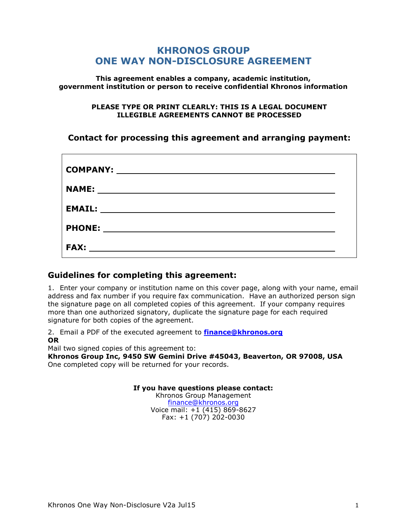## **KHRONOS GROUP ONE WAY NON-DISCLOSURE AGREEMENT**

**This agreement enables a company, academic institution, government institution or person to receive confidential Khronos information**

#### **PLEASE TYPE OR PRINT CLEARLY: THIS IS A LEGAL DOCUMENT ILLEGIBLE AGREEMENTS CANNOT BE PROCESSED**

## **Contact for processing this agreement and arranging payment:**

| <b>COMPANY:</b><br><u> 1989 - Johann Barnett, fransk politiker (d. 1989)</u> |  |
|------------------------------------------------------------------------------|--|
| <b>NAME:</b><br><u> 1989 - John Stein, Amerikaansk politiker (</u> † 1920)   |  |
| <b>EMAIL:</b>                                                                |  |
| <b>PHONE:</b>                                                                |  |
| <b>FAX:</b>                                                                  |  |

#### **Guidelines for completing this agreement:**

1. Enter your company or institution name on this cover page, along with your name, email address and fax number if you require fax communication. Have an authorized person sign the signature page on all completed copies of this agreement. If your company requires more than one authorized signatory, duplicate the signature page for each required signature for both copies of the agreement.

2. Email a PDF of the executed agreement to **[finance@khronos.org](mailto:finance@khronos.org) OR** 

Mail two signed copies of this agreement to:

**Khronos Group Inc, 9450 SW Gemini Drive #45043, Beaverton, OR 97008, USA** One completed copy will be returned for your records.

**If you have questions please contact:**

Khronos Group Management [finance@khronos.org](mailto:finance@khronos.org) Voice mail: +1 (415) 869-8627 Fax:  $+1$  (707) 202-0030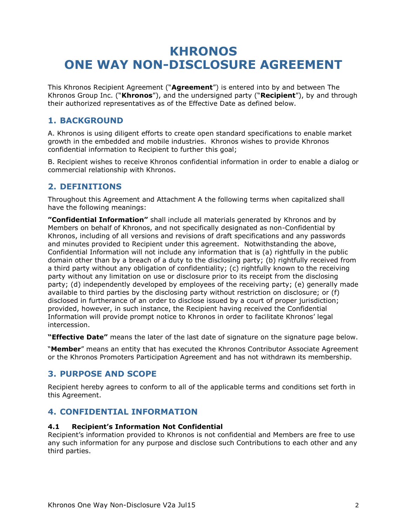# **KHRONOS ONE WAY NON-DISCLOSURE AGREEMENT**

This Khronos Recipient Agreement ("**Agreement**") is entered into by and between The Khronos Group Inc. ("**Khronos**"), and the undersigned party ("**Recipient**"), by and through their authorized representatives as of the Effective Date as defined below.

## **1. BACKGROUND**

A. Khronos is using diligent efforts to create open standard specifications to enable market growth in the embedded and mobile industries. Khronos wishes to provide Khronos confidential information to Recipient to further this goal;

B. Recipient wishes to receive Khronos confidential information in order to enable a dialog or commercial relationship with Khronos.

### **2. DEFINITIONS**

Throughout this Agreement and Attachment A the following terms when capitalized shall have the following meanings:

**"Confidential Information"** shall include all materials generated by Khronos and by Members on behalf of Khronos, and not specifically designated as non-Confidential by Khronos, including of all versions and revisions of draft specifications and any passwords and minutes provided to Recipient under this agreement. Notwithstanding the above, Confidential Information will not include any information that is (a) rightfully in the public domain other than by a breach of a duty to the disclosing party; (b) rightfully received from a third party without any obligation of confidentiality; (c) rightfully known to the receiving party without any limitation on use or disclosure prior to its receipt from the disclosing party; (d) independently developed by employees of the receiving party; (e) generally made available to third parties by the disclosing party without restriction on disclosure; or (f) disclosed in furtherance of an order to disclose issued by a court of proper jurisdiction; provided, however, in such instance, the Recipient having received the Confidential Information will provide prompt notice to Khronos in order to facilitate Khronos' legal intercession.

**"Effective Date"** means the later of the last date of signature on the signature page below.

"**Member**" means an entity that has executed the Khronos Contributor Associate Agreement or the Khronos Promoters Participation Agreement and has not withdrawn its membership.

## **3. PURPOSE AND SCOPE**

Recipient hereby agrees to conform to all of the applicable terms and conditions set forth in this Agreement.

## **4. CONFIDENTIAL INFORMATION**

#### **4.1 Recipient's Information Not Confidential**

Recipient's information provided to Khronos is not confidential and Members are free to use any such information for any purpose and disclose such Contributions to each other and any third parties.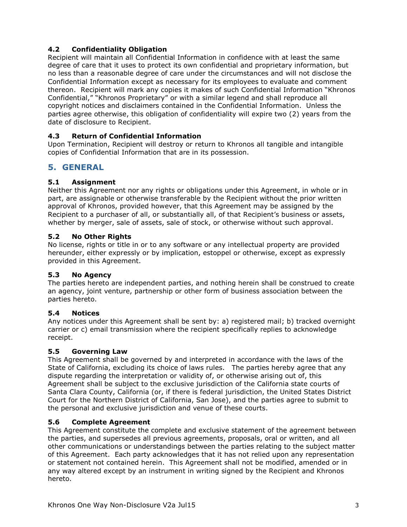#### **4.2 Confidentiality Obligation**

Recipient will maintain all Confidential Information in confidence with at least the same degree of care that it uses to protect its own confidential and proprietary information, but no less than a reasonable degree of care under the circumstances and will not disclose the Confidential Information except as necessary for its employees to evaluate and comment thereon. Recipient will mark any copies it makes of such Confidential Information "Khronos Confidential," "Khronos Proprietary" or with a similar legend and shall reproduce all copyright notices and disclaimers contained in the Confidential Information. Unless the parties agree otherwise, this obligation of confidentiality will expire two (2) years from the date of disclosure to Recipient.

#### **4.3 Return of Confidential Information**

Upon Termination, Recipient will destroy or return to Khronos all tangible and intangible copies of Confidential Information that are in its possession.

## **5. GENERAL**

#### **5.1 Assignment**

Neither this Agreement nor any rights or obligations under this Agreement, in whole or in part, are assignable or otherwise transferable by the Recipient without the prior written approval of Khronos, provided however, that this Agreement may be assigned by the Recipient to a purchaser of all, or substantially all, of that Recipient's business or assets, whether by merger, sale of assets, sale of stock, or otherwise without such approval.

#### **5.2 No Other Rights**

No license, rights or title in or to any software or any intellectual property are provided hereunder, either expressly or by implication, estoppel or otherwise, except as expressly provided in this Agreement.

#### **5.3 No Agency**

The parties hereto are independent parties, and nothing herein shall be construed to create an agency, joint venture, partnership or other form of business association between the parties hereto.

#### **5.4 Notices**

Any notices under this Agreement shall be sent by: a) registered mail; b) tracked overnight carrier or c) email transmission where the recipient specifically replies to acknowledge receipt.

#### **5.5 Governing Law**

This Agreement shall be governed by and interpreted in accordance with the laws of the State of California, excluding its choice of laws rules. The parties hereby agree that any dispute regarding the interpretation or validity of, or otherwise arising out of, this Agreement shall be subject to the exclusive jurisdiction of the California state courts of Santa Clara County, California (or, if there is federal jurisdiction, the United States District Court for the Northern District of California, San Jose), and the parties agree to submit to the personal and exclusive jurisdiction and venue of these courts.

#### **5.6 Complete Agreement**

This Agreement constitute the complete and exclusive statement of the agreement between the parties, and supersedes all previous agreements, proposals, oral or written, and all other communications or understandings between the parties relating to the subject matter of this Agreement. Each party acknowledges that it has not relied upon any representation or statement not contained herein. This Agreement shall not be modified, amended or in any way altered except by an instrument in writing signed by the Recipient and Khronos hereto.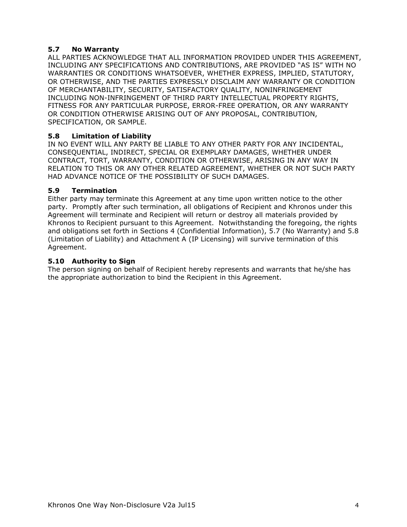#### **5.7 No Warranty**

ALL PARTIES ACKNOWLEDGE THAT ALL INFORMATION PROVIDED UNDER THIS AGREEMENT, INCLUDING ANY SPECIFICATIONS AND CONTRIBUTIONS, ARE PROVIDED "AS IS" WITH NO WARRANTIES OR CONDITIONS WHATSOEVER, WHETHER EXPRESS, IMPLIED, STATUTORY, OR OTHERWISE, AND THE PARTIES EXPRESSLY DISCLAIM ANY WARRANTY OR CONDITION OF MERCHANTABILITY, SECURITY, SATISFACTORY QUALITY, NONINFRINGEMENT INCLUDING NON-INFRINGEMENT OF THIRD PARTY INTELLECTUAL PROPERTY RIGHTS, FITNESS FOR ANY PARTICULAR PURPOSE, ERROR-FREE OPERATION, OR ANY WARRANTY OR CONDITION OTHERWISE ARISING OUT OF ANY PROPOSAL, CONTRIBUTION, SPECIFICATION, OR SAMPLE.

#### **5.8 Limitation of Liability**

IN NO EVENT WILL ANY PARTY BE LIABLE TO ANY OTHER PARTY FOR ANY INCIDENTAL, CONSEQUENTIAL, INDIRECT, SPECIAL OR EXEMPLARY DAMAGES, WHETHER UNDER CONTRACT, TORT, WARRANTY, CONDITION OR OTHERWISE, ARISING IN ANY WAY IN RELATION TO THIS OR ANY OTHER RELATED AGREEMENT, WHETHER OR NOT SUCH PARTY HAD ADVANCE NOTICE OF THE POSSIBILITY OF SUCH DAMAGES.

#### **5.9 Termination**

Either party may terminate this Agreement at any time upon written notice to the other party. Promptly after such termination, all obligations of Recipient and Khronos under this Agreement will terminate and Recipient will return or destroy all materials provided by Khronos to Recipient pursuant to this Agreement. Notwithstanding the foregoing, the rights and obligations set forth in Sections 4 (Confidential Information), 5.7 (No Warranty) and 5.8 (Limitation of Liability) and Attachment A (IP Licensing) will survive termination of this Agreement.

#### **5.10 Authority to Sign**

The person signing on behalf of Recipient hereby represents and warrants that he/she has the appropriate authorization to bind the Recipient in this Agreement.